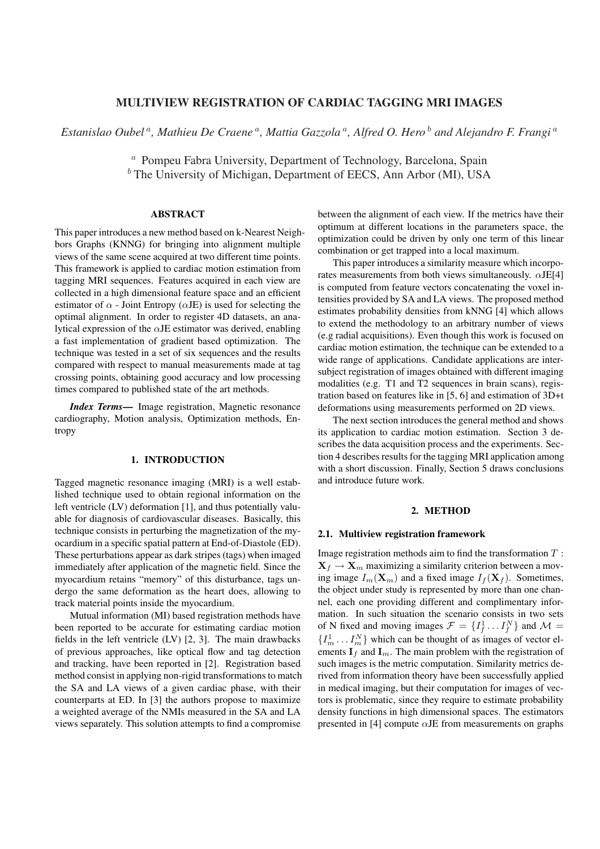# MULTIVIEW REGISTRATION OF CARDIAC TAGGING MRI IMAGES

*Estanislao Oubel* <sup>a</sup> *, Mathieu De Craene* <sup>a</sup> *, Mattia Gazzola* <sup>a</sup> *, Alfred O. Hero* <sup>b</sup> *and Alejandro F. Frangi* <sup>a</sup>

<sup>a</sup> Pompeu Fabra University, Department of Technology, Barcelona, Spain  $<sup>b</sup>$  The University of Michigan, Department of EECS, Ann Arbor (MI), USA</sup>

## ABSTRACT

This paper introduces a new method based on k-Nearest Neighbors Graphs (KNNG) for bringing into alignment multiple views of the same scene acquired at two different time points. This framework is applied to cardiac motion estimation from tagging MRI sequences. Features acquired in each view are collected in a high dimensional feature space and an efficient estimator of  $\alpha$  - Joint Entropy ( $\alpha$ JE) is used for selecting the optimal alignment. In order to register 4D datasets, an analytical expression of the  $\alpha$ JE estimator was derived, enabling a fast implementation of gradient based optimization. The technique was tested in a set of six sequences and the results compared with respect to manual measurements made at tag crossing points, obtaining good accuracy and low processing times compared to published state of the art methods.

*Index Terms*— Image registration, Magnetic resonance cardiography, Motion analysis, Optimization methods, Entropy

# 1. INTRODUCTION

Tagged magnetic resonance imaging (MRI) is a well established technique used to obtain regional information on the left ventricle (LV) deformation [1], and thus potentially valuable for diagnosis of cardiovascular diseases. Basically, this technique consists in perturbing the magnetization of the myocardium in a specific spatial pattern at End-of-Diastole (ED). These perturbations appear as dark stripes (tags) when imaged immediately after application of the magnetic field. Since the myocardium retains "memory" of this disturbance, tags undergo the same deformation as the heart does, allowing to track material points inside the myocardium.

Mutual information (MI) based registration methods have been reported to be accurate for estimating cardiac motion fields in the left ventricle (LV) [2, 3]. The main drawbacks of previous approaches, like optical flow and tag detection and tracking, have been reported in [2]. Registration based method consist in applying non-rigid transformations to match the SA and LA views of a given cardiac phase, with their counterparts at ED. In [3] the authors propose to maximize a weighted average of the NMIs measured in the SA and LA views separately. This solution attempts to find a compromise

between the alignment of each view. If the metrics have their optimum at different locations in the parameters space, the optimization could be driven by only one term of this linear combination or get trapped into a local maximum.

This paper introduces a similarity measure which incorporates measurements from both views simultaneously.  $\alpha$ JE[4] is computed from feature vectors concatenating the voxel intensities provided by SA and LA views. The proposed method estimates probability densities from kNNG [4] which allows to extend the methodology to an arbitrary number of views (e.g radial acquisitions). Even though this work is focused on cardiac motion estimation, the technique can be extended to a wide range of applications. Candidate applications are intersubject registration of images obtained with different imaging modalities (e.g. T1 and T2 sequences in brain scans), registration based on features like in [5, 6] and estimation of 3D+t deformations using measurements performed on 2D views.

The next section introduces the general method and shows its application to cardiac motion estimation. Section 3 describes the data acquisition process and the experiments. Section 4 describes results for the tagging MRI application among with a short discussion. Finally, Section 5 draws conclusions and introduce future work.

#### 2. METHOD

#### 2.1. Multiview registration framework

Image registration methods aim to find the transformation  $T$ :  $X_f \rightarrow X_m$  maximizing a similarity criterion between a moving image  $I_m(\mathbf{X}_m)$  and a fixed image  $I_f(\mathbf{X}_f)$ . Sometimes, the object under study is represented by more than one channel, each one providing different and complimentary information. In such situation the scenario consists in two sets of N fixed and moving images  $\mathcal{F} = \{I_f^1 \dots I_f^N\}$  and  $\mathcal{M} =$  $\{I_m^1 \dots I_m^N\}$  which can be thought of as images of vector elements  $I_f$  and  $I_m$ . The main problem with the registration of such images is the metric computation. Similarity metrics derived from information theory have been successfully applied in medical imaging, but their computation for images of vectors is problematic, since they require to estimate probability density functions in high dimensional spaces. The estimators presented in [4] compute  $\alpha$ JE from measurements on graphs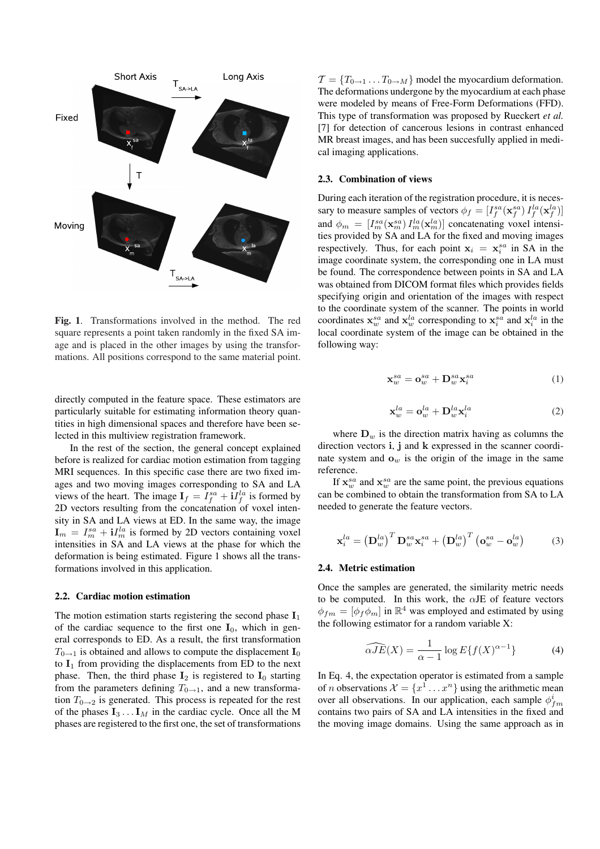

Fig. 1. Transformations involved in the method. The red square represents a point taken randomly in the fixed SA image and is placed in the other images by using the transformations. All positions correspond to the same material point.

directly computed in the feature space. These estimators are particularly suitable for estimating information theory quantities in high dimensional spaces and therefore have been selected in this multiview registration framework.

In the rest of the section, the general concept explained before is realized for cardiac motion estimation from tagging MRI sequences. In this specific case there are two fixed images and two moving images corresponding to SA and LA views of the heart. The image  $I_f = I_f^{sa} + iI_f^{la}$  is formed by 2D vectors resulting from the concatenation of voxel intensity in SA and LA views at ED. In the same way, the image  $\mathbf{I}_m = I_m^{sa} + \mathbf{i}I_m^{la}$  is formed by 2D vectors containing voxel intensities in SA and LA views at the phase for which the deformation is being estimated. Figure 1 shows all the transformations involved in this application.

#### 2.2. Cardiac motion estimation

The motion estimation starts registering the second phase  $I_1$ of the cardiac sequence to the first one  $I_0$ , which in general corresponds to ED. As a result, the first transformation  $T_{0\rightarrow 1}$  is obtained and allows to compute the displacement  $I_0$ to  $I_1$  from providing the displacements from ED to the next phase. Then, the third phase  $I_2$  is registered to  $I_0$  starting from the parameters defining  $T_{0\rightarrow 1}$ , and a new transformation  $T_{0\rightarrow 2}$  is generated. This process is repeated for the rest of the phases  $I_3 \dots I_M$  in the cardiac cycle. Once all the M phases are registered to the first one, the set of transformations  $\mathcal{T} = \{T_{0 \to 1} \dots T_{0 \to M}\}\$  model the myocardium deformation. The deformations undergone by the myocardium at each phase were modeled by means of Free-Form Deformations (FFD). This type of transformation was proposed by Rueckert *et al.* [7] for detection of cancerous lesions in contrast enhanced MR breast images, and has been succesfully applied in medical imaging applications.

# 2.3. Combination of views

During each iteration of the registration procedure, it is necessary to measure samples of vectors  $\phi_f = [I_f^{sa}(\mathbf{x}_f^{sa}) I_f^{la}(\mathbf{x}_f^{la})]$ and  $\phi_m = [I_m^{sa}(\mathbf{x}_m^{sa}) I_m^{la}(\mathbf{x}_m^{la})]$  concatenating voxel intensities provided by SA and LA for the fixed and moving images respectively. Thus, for each point  $x_i = x_i^{sa}$  in SA in the image coordinate system, the corresponding one in LA must be found. The correspondence between points in SA and LA was obtained from DICOM format files which provides fields specifying origin and orientation of the images with respect to the coordinate system of the scanner. The points in world coordinates  $\mathbf{x}_{w}^{sa}$  and  $\mathbf{x}_{w}^{la}$  corresponding to  $\mathbf{x}_{i}^{sa}$  and  $\mathbf{x}_{i}^{la}$  in the local coordinate system of the image can be obtained in the following way:

$$
\mathbf{x}_{w}^{sa} = \mathbf{o}_{w}^{sa} + \mathbf{D}_{w}^{sa} \mathbf{x}_{i}^{sa}
$$
 (1)

$$
\mathbf{x}_{w}^{la} = \mathbf{o}_{w}^{la} + \mathbf{D}_{w}^{la} \mathbf{x}_{i}^{la}
$$
 (2)

where  $D_w$  is the direction matrix having as columns the direction vectors i, j and k expressed in the scanner coordinate system and  $\mathbf{o}_w$  is the origin of the image in the same reference.

If  $x_w^{sa}$  and  $x_w^{sa}$  are the same point, the previous equations can be combined to obtain the transformation from SA to LA needed to generate the feature vectors.

$$
\mathbf{x}_{i}^{la} = \left(\mathbf{D}_{w}^{la}\right)^{T} \mathbf{D}_{w}^{sa} \mathbf{x}_{i}^{sa} + \left(\mathbf{D}_{w}^{la}\right)^{T} \left(\mathbf{o}_{w}^{sa} - \mathbf{o}_{w}^{la}\right) \tag{3}
$$

### 2.4. Metric estimation

Once the samples are generated, the similarity metric needs to be computed. In this work, the  $\alpha$ JE of feature vectors  $\phi_{fm} = [\phi_f \phi_m]$  in  $\mathbb{R}^4$  was employed and estimated by using the following estimator for a random variable X:

$$
\widehat{\alpha JE}(X) = \frac{1}{\alpha - 1} \log E\{f(X)^{\alpha - 1}\}
$$
 (4)

In Eq. 4, the expectation operator is estimated from a sample of *n* observations  $\mathcal{X} = \{x^1 \dots x^n\}$  using the arithmetic mean over all observations. In our application, each sample  $\phi_{fm}^i$ contains two pairs of SA and LA intensities in the fixed and the moving image domains. Using the same approach as in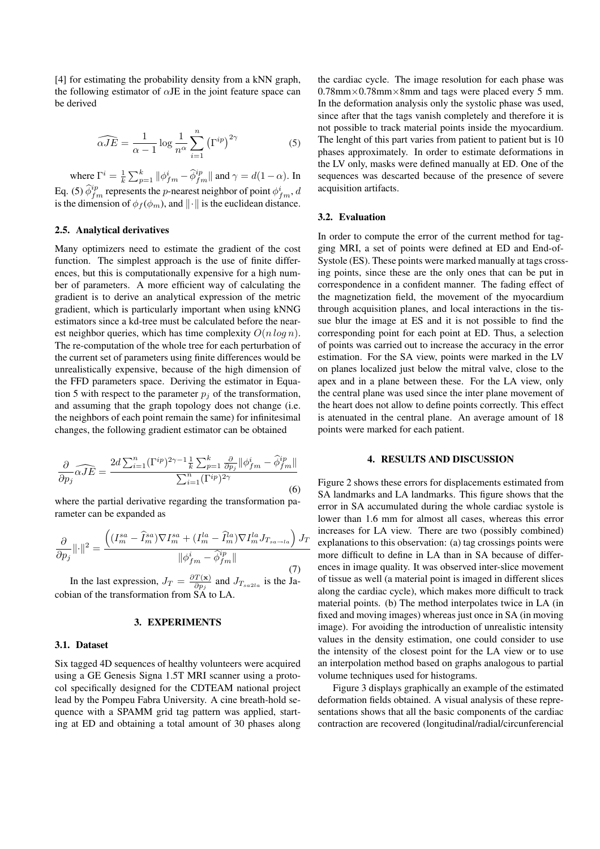[4] for estimating the probability density from a kNN graph, the following estimator of  $\alpha$ JE in the joint feature space can be derived

$$
\widehat{\alpha JE} = \frac{1}{\alpha - 1} \log \frac{1}{n^{\alpha}} \sum_{i=1}^{n} (\Gamma^{ip})^{2\gamma}
$$
 (5)

where  $\Gamma^i = \frac{1}{k}$  $\sum_{p=1}^{k} \|\phi_{fm}^i - \widehat{\phi}_{fm}^{ip}\|$  and  $\gamma = d(1-\alpha)$ . In Eq. (5)  $\widehat{\phi}^{ip}_{fm}$  represents the *p*-nearest neighbor of point  $\phi^{i}_{fm}, d$ is the dimension of  $\phi_f(\phi_m)$ , and  $\|\cdot\|$  is the euclidean distance.

## 2.5. Analytical derivatives

Many optimizers need to estimate the gradient of the cost function. The simplest approach is the use of finite differences, but this is computationally expensive for a high number of parameters. A more efficient way of calculating the gradient is to derive an analytical expression of the metric gradient, which is particularly important when using kNNG estimators since a kd-tree must be calculated before the nearest neighbor queries, which has time complexity  $O(n \log n)$ . The re-computation of the whole tree for each perturbation of the current set of parameters using finite differences would be unrealistically expensive, because of the high dimension of the FFD parameters space. Deriving the estimator in Equation 5 with respect to the parameter  $p_i$  of the transformation, and assuming that the graph topology does not change (i.e. the neighbors of each point remain the same) for infinitesimal changes, the following gradient estimator can be obtained

$$
\frac{\partial}{\partial p_j} \widehat{\alpha J E} = \frac{2d \sum_{i=1}^n (\Gamma^{ip})^{2\gamma - 1} \frac{1}{k} \sum_{p=1}^k \frac{\partial}{\partial p_j} ||\phi_{fm}^i - \widehat{\phi}_{fm}^{ip}||}{\sum_{i=1}^n (\Gamma^{ip})^{2\gamma}}
$$
(6)

where the partial derivative regarding the transformation parameter can be expanded as

$$
\frac{\partial}{\partial p_j} \|\cdot\|^2 = \frac{\left( (I_m^{sa} - \widehat{I}_m^{sa}) \nabla I_m^{sa} + (I_m^{la} - \widehat{I}_m^{la}) \nabla I_m^{la} J_{T_{sa \to la}} \right) J_T}{\|\phi_{fm}^i - \widehat{\phi}_{fm}^{ip}\|}
$$
\n(7)

In the last expression,  $J_T = \frac{\partial T(\mathbf{x})}{\partial n_i}$  $rac{T(\mathbf{x})}{\partial p_j}$  and  $J_{T_{sa2la}}$  is the Jacobian of the transformation from  $\overrightarrow{SA}$  to LA.

# 3. EXPERIMENTS

### 3.1. Dataset

Six tagged 4D sequences of healthy volunteers were acquired using a GE Genesis Signa 1.5T MRI scanner using a protocol specifically designed for the CDTEAM national project lead by the Pompeu Fabra University. A cine breath-hold sequence with a SPAMM grid tag pattern was applied, starting at ED and obtaining a total amount of 30 phases along

the cardiac cycle. The image resolution for each phase was  $0.78$ mm×0.78mm×8mm and tags were placed every 5 mm. In the deformation analysis only the systolic phase was used, since after that the tags vanish completely and therefore it is not possible to track material points inside the myocardium. The lenght of this part varies from patient to patient but is 10 phases approximately. In order to estimate deformations in the LV only, masks were defined manually at ED. One of the sequences was descarted because of the presence of severe acquisition artifacts.

### 3.2. Evaluation

In order to compute the error of the current method for tagging MRI, a set of points were defined at ED and End-of-Systole (ES). These points were marked manually at tags crossing points, since these are the only ones that can be put in correspondence in a confident manner. The fading effect of the magnetization field, the movement of the myocardium through acquisition planes, and local interactions in the tissue blur the image at ES and it is not possible to find the corresponding point for each point at ED. Thus, a selection of points was carried out to increase the accuracy in the error estimation. For the SA view, points were marked in the LV on planes localized just below the mitral valve, close to the apex and in a plane between these. For the LA view, only the central plane was used since the inter plane movement of the heart does not allow to define points correctly. This effect is atenuated in the central plane. An average amount of 18 points were marked for each patient.

# 4. RESULTS AND DISCUSSION

Figure 2 shows these errors for displacements estimated from SA landmarks and LA landmarks. This figure shows that the error in SA accumulated during the whole cardiac systole is lower than 1.6 mm for almost all cases, whereas this error increases for LA view. There are two (possibly combined) explanations to this observation: (a) tag crossings points were more difficult to define in LA than in SA because of differences in image quality. It was observed inter-slice movement of tissue as well (a material point is imaged in different slices along the cardiac cycle), which makes more difficult to track material points. (b) The method interpolates twice in LA (in fixed and moving images) whereas just once in SA (in moving image). For avoiding the introduction of unrealistic intensity values in the density estimation, one could consider to use the intensity of the closest point for the LA view or to use an interpolation method based on graphs analogous to partial volume techniques used for histograms.

Figure 3 displays graphically an example of the estimated deformation fields obtained. A visual analysis of these representations shows that all the basic components of the cardiac contraction are recovered (longitudinal/radial/circunferencial